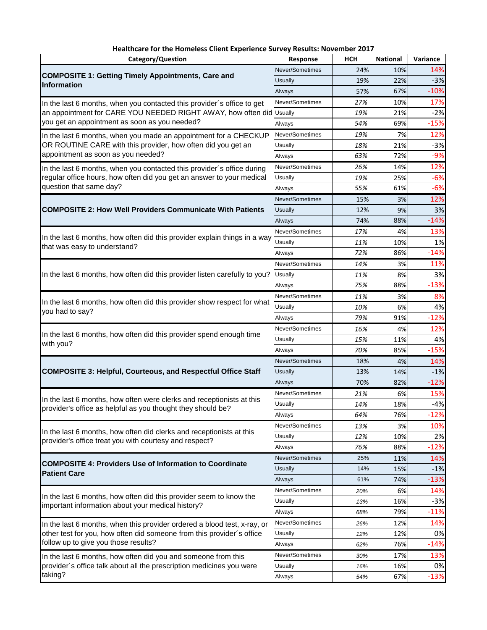| Category/Question                                                                                                                     | Response        | <b>HCH</b> | <b>National</b> | Variance |
|---------------------------------------------------------------------------------------------------------------------------------------|-----------------|------------|-----------------|----------|
| <b>COMPOSITE 1: Getting Timely Appointments, Care and</b><br><b>Information</b>                                                       | Never/Sometimes | 24%        | 10%             | 14%      |
|                                                                                                                                       | Usually         | 19%        | 22%             | $-3%$    |
|                                                                                                                                       | Always          | 57%        | 67%             | $-10%$   |
| In the last 6 months, when you contacted this provider's office to get                                                                | Never/Sometimes | 27%        | 10%             | 17%      |
| an appointment for CARE YOU NEEDED RIGHT AWAY, how often did Usually<br>you get an appointment as soon as you needed?                 |                 | 19%        | 21%             | $-2%$    |
|                                                                                                                                       | Always          | 54%        | 69%             | $-15%$   |
| In the last 6 months, when you made an appointment for a CHECKUP                                                                      | Never/Sometimes | 19%        | 7%              | 12%      |
| OR ROUTINE CARE with this provider, how often did you get an                                                                          | Usually         | 18%        | 21%             | $-3%$    |
| appointment as soon as you needed?                                                                                                    | Always          | 63%        | 72%             | $-9%$    |
| In the last 6 months, when you contacted this provider's office during                                                                | Never/Sometimes | 26%        | 14%             | 12%      |
| regular office hours, how often did you get an answer to your medical                                                                 | Usually         | 19%        | 25%             | $-6%$    |
| question that same day?                                                                                                               | Always          | 55%        | 61%             | $-6%$    |
|                                                                                                                                       | Never/Sometimes | 15%        | 3%              | 12%      |
| <b>COMPOSITE 2: How Well Providers Communicate With Patients</b>                                                                      | <b>Usually</b>  | 12%        | 9%              | 3%       |
|                                                                                                                                       | Always          | 74%        | 88%             | $-14%$   |
|                                                                                                                                       | Never/Sometimes | 17%        | 4%              | 13%      |
| In the last 6 months, how often did this provider explain things in a way                                                             | Usually         | 11%        | 10%             | 1%       |
| that was easy to understand?                                                                                                          | Always          | 72%        | 86%             | $-14%$   |
|                                                                                                                                       | Never/Sometimes | 14%        | 3%              | 11%      |
| In the last 6 months, how often did this provider listen carefully to you?                                                            | Usually         | 11%        | 8%              | 3%       |
|                                                                                                                                       | Always          | 75%        | 88%             | $-13%$   |
|                                                                                                                                       |                 |            |                 |          |
| In the last 6 months, how often did this provider show respect for what                                                               | Never/Sometimes | 11%        | 3%              | 8%       |
| you had to say?                                                                                                                       | Usually         | 10%        | 6%              | 4%       |
|                                                                                                                                       | Always          | 79%        | 91%             | $-12%$   |
| In the last 6 months, how often did this provider spend enough time                                                                   | Never/Sometimes | 16%        | 4%              | 12%      |
| with you?                                                                                                                             | Usually         | 15%        | 11%             | 4%       |
|                                                                                                                                       | Always          | 70%        | 85%             | $-15%$   |
|                                                                                                                                       | Never/Sometimes | 18%        | 4%              | 14%      |
| <b>COMPOSITE 3: Helpful, Courteous, and Respectful Office Staff</b>                                                                   | <b>Usually</b>  | 13%        | 14%             | $-1%$    |
|                                                                                                                                       | Always          | 70%        | 82%             | $-12%$   |
| In the last 6 months, how often were clerks and receptionists at this                                                                 | Never/Sometimes | 21%        | 6%              | 15%      |
| provider's office as helpful as you thought they should be?                                                                           | Usually         | 14%        | 18%             | $-4%$    |
|                                                                                                                                       | Always          | 64%        | 76%             | $-12%$   |
|                                                                                                                                       | Never/Sometimes | 13%        | 3%              | 10%      |
| In the last 6 months, how often did clerks and receptionists at this<br>provider's office treat you with courtesy and respect?        | Usually         | 12%        | 10%             | 2%       |
|                                                                                                                                       | Always          | 76%        | 88%             | $-12%$   |
|                                                                                                                                       | Never/Sometimes | 25%        | 11%             | 14%      |
| <b>COMPOSITE 4: Providers Use of Information to Coordinate</b><br><b>Patient Care</b>                                                 | Usually         | 14%        | 15%             | $-1%$    |
|                                                                                                                                       | Always          | 61%        | 74%             | $-13%$   |
|                                                                                                                                       | Never/Sometimes | 20%        | 6%              | 14%      |
| In the last 6 months, how often did this provider seem to know the                                                                    | Usually         | 13%        | 16%             | $-3%$    |
| important information about your medical history?                                                                                     | Always          | 68%        | 79%             | $-11%$   |
| In the last 6 months, when this provider ordered a blood test, x-ray, or                                                              | Never/Sometimes | 26%        | 12%             | 14%      |
| other test for you, how often did someone from this provider's office                                                                 | Usually         | 12%        | 12%             | 0%       |
| follow up to give you those results?                                                                                                  | Always          | 62%        | 76%             | $-14%$   |
|                                                                                                                                       | Never/Sometimes | 30%        | 17%             | 13%      |
| In the last 6 months, how often did you and someone from this<br>provider's office talk about all the prescription medicines you were | Usually         | 16%        | 16%             | 0%       |
| taking?                                                                                                                               | Always          | 54%        | 67%             | $-13%$   |
|                                                                                                                                       |                 |            |                 |          |

## **Healthcare for the Homeless Client Experience Survey Results: November 2017**